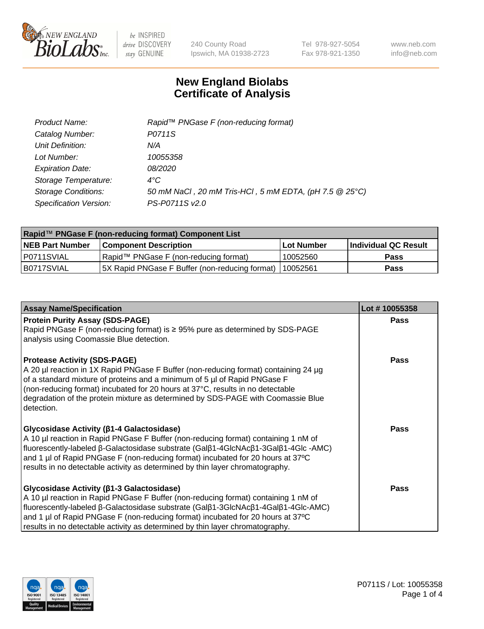

240 County Road Ipswich, MA 01938-2723 Tel 978-927-5054 Fax 978-921-1350 www.neb.com info@neb.com

## **New England Biolabs Certificate of Analysis**

| Product Name:              | Rapid <sup>™</sup> PNGase F (non-reducing format)      |
|----------------------------|--------------------------------------------------------|
| Catalog Number:            | P0711S                                                 |
| Unit Definition:           | N/A                                                    |
| Lot Number:                | 10055358                                               |
| <b>Expiration Date:</b>    | 08/2020                                                |
| Storage Temperature:       | $4^{\circ}C$                                           |
| <b>Storage Conditions:</b> | 50 mM NaCl, 20 mM Tris-HCl, 5 mM EDTA, (pH 7.5 @ 25°C) |
| Specification Version:     | PS-P0711S v2.0                                         |

| Rapid™ PNGase F (non-reducing format) Component List |                                                |                   |                      |  |
|------------------------------------------------------|------------------------------------------------|-------------------|----------------------|--|
| <b>NEB Part Number</b>                               | <b>Component Description</b>                   | <b>Lot Number</b> | Individual QC Result |  |
| P0711SVIAL                                           | Rapid™ PNGase F (non-reducing format)          | 10052560          | <b>Pass</b>          |  |
| B0717SVIAL                                           | 5X Rapid PNGase F Buffer (non-reducing format) | 110052561         | Pass                 |  |

| <b>Assay Name/Specification</b>                                                                                                                                                                                                                                                                                                                                                                  | Lot #10055358 |
|--------------------------------------------------------------------------------------------------------------------------------------------------------------------------------------------------------------------------------------------------------------------------------------------------------------------------------------------------------------------------------------------------|---------------|
| <b>Protein Purity Assay (SDS-PAGE)</b><br>Rapid PNGase F (non-reducing format) is $\geq$ 95% pure as determined by SDS-PAGE                                                                                                                                                                                                                                                                      | <b>Pass</b>   |
| analysis using Coomassie Blue detection.                                                                                                                                                                                                                                                                                                                                                         |               |
| <b>Protease Activity (SDS-PAGE)</b><br>A 20 µl reaction in 1X Rapid PNGase F Buffer (non-reducing format) containing 24 µg<br>of a standard mixture of proteins and a minimum of 5 µl of Rapid PNGase F<br>(non-reducing format) incubated for 20 hours at 37°C, results in no detectable<br>degradation of the protein mixture as determined by SDS-PAGE with Coomassie Blue<br>detection.      | Pass          |
| Glycosidase Activity ( $\beta$ 1-4 Galactosidase)<br>A 10 µl reaction in Rapid PNGase F Buffer (non-reducing format) containing 1 nM of<br>fluorescently-labeled β-Galactosidase substrate (Galβ1-4GlcNAcβ1-3Galβ1-4Glc-AMC)<br>and 1 µl of Rapid PNGase F (non-reducing format) incubated for 20 hours at 37°C<br>results in no detectable activity as determined by thin layer chromatography. | <b>Pass</b>   |
| Glycosidase Activity ( $\beta$ 1-3 Galactosidase)<br>A 10 µl reaction in Rapid PNGase F Buffer (non-reducing format) containing 1 nM of<br>fluorescently-labeled β-Galactosidase substrate (Galβ1-3GlcNAcβ1-4Galβ1-4Glc-AMC)<br>and 1 µl of Rapid PNGase F (non-reducing format) incubated for 20 hours at 37°C<br>results in no detectable activity as determined by thin layer chromatography. | <b>Pass</b>   |

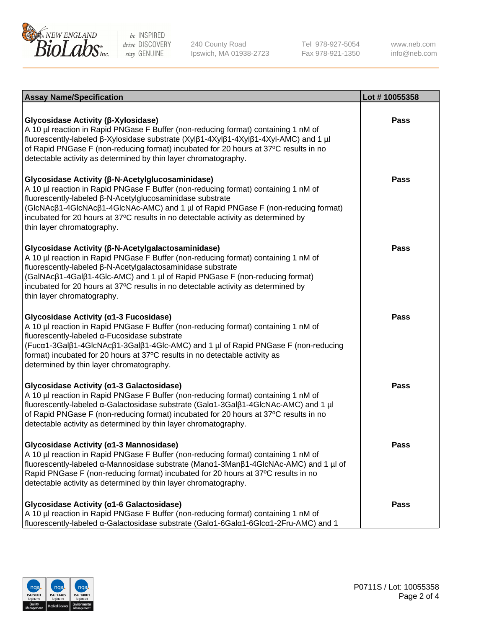

240 County Road Ipswich, MA 01938-2723 Tel 978-927-5054 Fax 978-921-1350 www.neb.com info@neb.com

| <b>Assay Name/Specification</b>                                                                                                                                                                                                                                                                                                                                                                                  | Lot #10055358 |
|------------------------------------------------------------------------------------------------------------------------------------------------------------------------------------------------------------------------------------------------------------------------------------------------------------------------------------------------------------------------------------------------------------------|---------------|
| <b>Glycosidase Activity (β-Xylosidase)</b><br>A 10 µl reaction in Rapid PNGase F Buffer (non-reducing format) containing 1 nM of<br>fluorescently-labeled β-Xylosidase substrate (Xylβ1-4Xylβ1-4Xylβ1-4Xyl-AMC) and 1 µl<br>of Rapid PNGase F (non-reducing format) incubated for 20 hours at 37°C results in no<br>detectable activity as determined by thin layer chromatography.                              | <b>Pass</b>   |
| Glycosidase Activity (β-N-Acetylglucosaminidase)<br>A 10 µl reaction in Rapid PNGase F Buffer (non-reducing format) containing 1 nM of<br>fluorescently-labeled β-N-Acetylglucosaminidase substrate<br>(GIcNAcβ1-4GIcNAcβ1-4GIcNAc-AMC) and 1 µl of Rapid PNGase F (non-reducing format)<br>incubated for 20 hours at 37°C results in no detectable activity as determined by<br>thin layer chromatography.      | <b>Pass</b>   |
| <b>Glycosidase Activity (β-N-Acetylgalactosaminidase)</b><br>A 10 µl reaction in Rapid PNGase F Buffer (non-reducing format) containing 1 nM of<br>fluorescently-labeled β-N-Acetylgalactosaminidase substrate<br>(GalNAcβ1-4Galβ1-4Glc-AMC) and 1 µl of Rapid PNGase F (non-reducing format)<br>incubated for 20 hours at 37°C results in no detectable activity as determined by<br>thin layer chromatography. | Pass          |
| Glycosidase Activity (α1-3 Fucosidase)<br>A 10 µl reaction in Rapid PNGase F Buffer (non-reducing format) containing 1 nM of<br>fluorescently-labeled α-Fucosidase substrate<br>(Fucα1-3Galβ1-4GlcNAcβ1-3Galβ1-4Glc-AMC) and 1 µl of Rapid PNGase F (non-reducing<br>format) incubated for 20 hours at 37°C results in no detectable activity as<br>determined by thin layer chromatography.                     | Pass          |
| Glycosidase Activity (α1-3 Galactosidase)<br>A 10 µl reaction in Rapid PNGase F Buffer (non-reducing format) containing 1 nM of<br>fluorescently-labeled α-Galactosidase substrate (Galα1-3Galβ1-4GlcNAc-AMC) and 1 µl<br>of Rapid PNGase F (non-reducing format) incubated for 20 hours at 37°C results in no<br>detectable activity as determined by thin layer chromatography.                                | <b>Pass</b>   |
| Glycosidase Activity (α1-3 Mannosidase)<br>A 10 µl reaction in Rapid PNGase F Buffer (non-reducing format) containing 1 nM of<br>fluorescently-labeled α-Mannosidase substrate (Manα1-3Manβ1-4GlcNAc-AMC) and 1 µl of<br>Rapid PNGase F (non-reducing format) incubated for 20 hours at 37°C results in no<br>detectable activity as determined by thin layer chromatography.                                    | Pass          |
| <b>Glycosidase Activity (α1-6 Galactosidase)</b><br>A 10 µl reaction in Rapid PNGase F Buffer (non-reducing format) containing 1 nM of<br>fluorescently-labeled α-Galactosidase substrate (Galα1-6Galα1-6Glcα1-2Fru-AMC) and 1                                                                                                                                                                                   | Pass          |

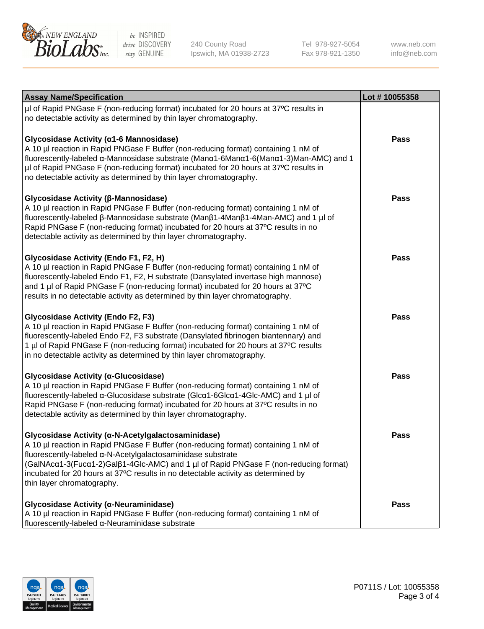

240 County Road Ipswich, MA 01938-2723 Tel 978-927-5054 Fax 978-921-1350

www.neb.com info@neb.com

| <b>Assay Name/Specification</b>                                                                                                                                                                                                                                                                                                                                                                                    | Lot #10055358 |
|--------------------------------------------------------------------------------------------------------------------------------------------------------------------------------------------------------------------------------------------------------------------------------------------------------------------------------------------------------------------------------------------------------------------|---------------|
| µl of Rapid PNGase F (non-reducing format) incubated for 20 hours at 37°C results in<br>no detectable activity as determined by thin layer chromatography.                                                                                                                                                                                                                                                         |               |
| Glycosidase Activity (α1-6 Mannosidase)<br>A 10 µl reaction in Rapid PNGase F Buffer (non-reducing format) containing 1 nM of<br>fluorescently-labeled α-Mannosidase substrate (Manα1-6Manα1-6(Manα1-3)Man-AMC) and 1<br>µl of Rapid PNGase F (non-reducing format) incubated for 20 hours at 37°C results in<br>no detectable activity as determined by thin layer chromatography.                                | Pass          |
| Glycosidase Activity (β-Mannosidase)<br>A 10 µl reaction in Rapid PNGase F Buffer (non-reducing format) containing 1 nM of<br>fluorescently-labeled β-Mannosidase substrate (Manβ1-4Manβ1-4Man-AMC) and 1 µl of<br>Rapid PNGase F (non-reducing format) incubated for 20 hours at 37°C results in no<br>detectable activity as determined by thin layer chromatography.                                            | Pass          |
| Glycosidase Activity (Endo F1, F2, H)<br>A 10 µl reaction in Rapid PNGase F Buffer (non-reducing format) containing 1 nM of<br>fluorescently-labeled Endo F1, F2, H substrate (Dansylated invertase high mannose)<br>and 1 µl of Rapid PNGase F (non-reducing format) incubated for 20 hours at 37°C<br>results in no detectable activity as determined by thin layer chromatography.                              | <b>Pass</b>   |
| <b>Glycosidase Activity (Endo F2, F3)</b><br>A 10 µl reaction in Rapid PNGase F Buffer (non-reducing format) containing 1 nM of<br>fluorescently-labeled Endo F2, F3 substrate (Dansylated fibrinogen biantennary) and<br>1 µl of Rapid PNGase F (non-reducing format) incubated for 20 hours at 37°C results<br>in no detectable activity as determined by thin layer chromatography.                             | <b>Pass</b>   |
| Glycosidase Activity (α-Glucosidase)<br>A 10 µl reaction in Rapid PNGase F Buffer (non-reducing format) containing 1 nM of<br>fluorescently-labeled α-Glucosidase substrate (Glcα1-6Glcα1-4Glc-AMC) and 1 µl of<br>Rapid PNGase F (non-reducing format) incubated for 20 hours at 37°C results in no<br>detectable activity as determined by thin layer chromatography.                                            | <b>Pass</b>   |
| Glycosidase Activity (α-N-Acetylgalactosaminidase)<br>A 10 µl reaction in Rapid PNGase F Buffer (non-reducing format) containing 1 nM of<br>fluorescently-labeled α-N-Acetylgalactosaminidase substrate<br>(GalNAca1-3(Fuca1-2)Galß1-4Glc-AMC) and 1 µl of Rapid PNGase F (non-reducing format)<br>incubated for 20 hours at 37°C results in no detectable activity as determined by<br>thin layer chromatography. | <b>Pass</b>   |
| Glycosidase Activity (α-Neuraminidase)<br>A 10 µl reaction in Rapid PNGase F Buffer (non-reducing format) containing 1 nM of<br>fluorescently-labeled α-Neuraminidase substrate                                                                                                                                                                                                                                    | <b>Pass</b>   |